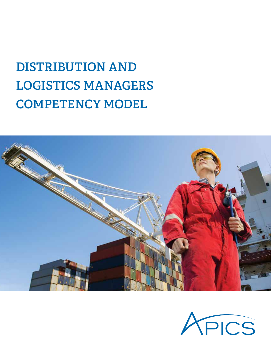# **DISTRIBUTION AND LOGISTICS MANAGERS COMPETENCY MODEL**



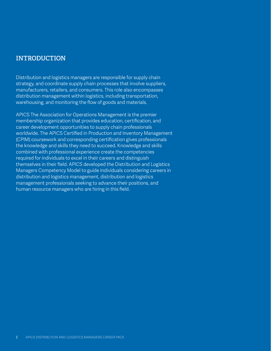Distribution and logistics managers are responsible for supply chain strategy, and coordinate supply chain processes that involve suppliers, manufacturers, retailers, and consumers. This role also encompasses distribution management within logistics, including transportation, warehousing, and monitoring the flow of goods and materials.

APICS The Association for Operations Management is the premier membership organization that provides education, certification, and career development opportunities to supply chain professionals worldwide. The APICS Certified in Production and Inventory Management (CPIM) coursework and corresponding certification gives professionals the knowledge and skills they need to succeed. Knowledge and skills combined with professional experience create the competencies required for individuals to excel in their careers and distinguish themselves in their field. APICS developed the Distribution and Logistics Managers Competency Model to guide individuals considering careers in distribution and logistics management, distribution and logistics management professionals seeking to advance their positions, and human resource managers who are hiring in this field.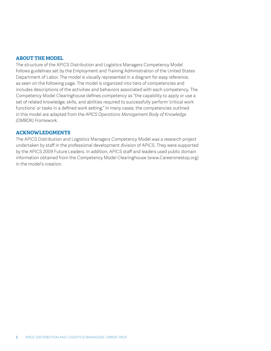#### **ABOUT THE MODEL**

The structure of the APICS Distribution and Logistics Managers Competency Model follows guidelines set by the Employment and Training Administration of the United States Department of Labor. The model is visually represented in a diagram for easy reference, as seen on the following page. The model is organized into tiers of competencies and includes descriptions of the activities and behaviors associated with each competency. The Competency Model Clearinghouse defines competency as "the capability to apply or use a set of related knowledge, skills, and abilities required to successfully perform 'critical work functions' or tasks in a defined work setting." In many cases, the competencies outlined in this model are adapted from the *APICS Operations Management Body of Knowledge (OMBOK) Framework.*

#### **ACKNOWLEDGMENTS**

The APICS Distribution and Logistics Managers Competency Model was a research project undertaken by staff in the professional development division of APICS. They were supported by the APICS 2009 Future Leaders. In addition, APICS staff and leaders used public domain information obtained from the Competency Model Clearinghouse (www.Careeronestop.org) in the model's creation.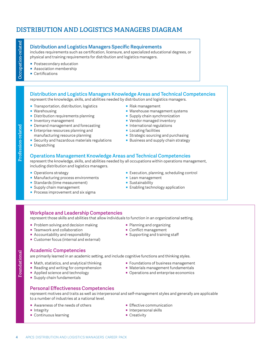### **DISTRIBUTION AND LOGISTICS MANAGERS DIAGRAM**

#### **Distribution and Logistics Managers Specific Requirements**

includes requirements such as certification, licensure, and specialized educational degrees, or physical and training requirements for distribution and logistics managers.

- **Postsecondary education**
- **Association membership**
- Certifications

#### **Distribution and Logistics Managers Knowledge Areas and Technical Competencies**

represent the knowledge, skills, and abilities needed by distribution and logistics managers.

- **Transportation, distribution, logistics**
- Warehousing
- **Distribution requirements planning**
- **Inventory management**
- **Demand management and forecasting**
- **Enterprise resources planning and** manufacturing resource planning
- Security and hazardous materials regulations
- **•** Dispatching
- Risk management
- Warehouse management systems
- **Supply chain synchronization**
- **Vendor managed inventory**
- **•** International regulations
- Locating facilities
- **Strategic sourcing and purchasing**
- Business and supply chain strategy

#### **Operations Management Knowledge Areas and Technical Competencies**

represent the knowledge, skills, and abilities needed by all occupations within operations management, including distribution and logistics managers.

- **Operations strategy**
- **Manufacturing process environments**
- **Standards (time measurement)**
- **Supply chain management**
- **Process improvement and six sigma**
- Execution, planning, scheduling control
- **E** Lean management
- **Sustainability**
- **Enabling technology application**

#### **Workplace and Leadership Competencies**

represent those skills and abilities that allow individuals to function in an organizational setting.

- Problem solving and decision making
- **Teamwork and collaboration**
- $\blacksquare$  Accountability and responsibility
- **Customer focus (internal and external)**

#### **Academic Competencies**

are primarily learned in an academic setting, and include cognitive functions and thinking styles.

- **Math, statistics, and analytical thinking**
- **Reading and writing for comprehension**
- **Applied science and technology**
- **Supply chain fundamentals**

**• Conflict management • Supporting and training staff** 

**• Planning and organizing** 

- - Foundations of business management
		- Materials management fundamentals
		- **Operations and enterprise economics**
- **Personal Effectiveness Competencies** represent motives and traits as well as interpersonal and self-management styles and generally are applicable
- to a number of industries at a national level.
- **Awareness of the needs of others**
- **Integrity**
- **Continuous learning**
- **Effective communication**
- **•** Interpersonal skills
- Creativity

Profession-related **Profession-related**

- - -
		-
		-
	-
- 

Foundational **Foundational**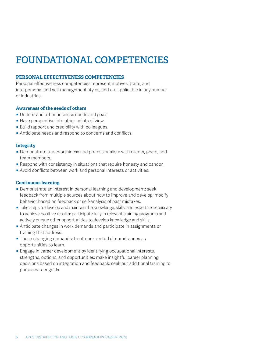## **FOUNDATIONAL COMPETENCIES**

#### **PERSONAL EFFECTIVENESS COMPETENCIES**

Personal effectiveness competencies represent motives, traits, and interpersonal and self management styles, and are applicable in any number of industries.

#### **Awareness of the needs of others**

- **Understand other business needs and goals.**
- **Have perspective into other points of view.**
- **Build rapport and credibility with colleagues.**
- **Anticipate needs and respond to concerns and conflicts.**

#### **Integrity**

- **Demonstrate trustworthiness and professionalism with clients, peers, and** team members.
- **•** Respond with consistency in situations that require honesty and candor.
- **Avoid conflicts between work and personal interests or activities.**

#### **Continuous learning**

- **Demonstrate an interest in personal learning and development; seek** feedback from multiple sources about how to improve and develop; modify behavior based on feedback or self-analysis of past mistakes.
- **Take steps to develop and maintain the knowledge, skills, and expertise necessary** to achieve positive results; participate fully in relevant training programs and actively pursue other opportunities to develop knowledge and skills.
- **•** Anticipate changes in work demands and participate in assignments or training that address.
- **These changing demands; treat unexpected circumstances as** opportunities to learn.
- **Engage in career development by identifying occupational interests,** strengths, options, and opportunities; make insightful career planning decisions based on integration and feedback; seek out additional training to pursue career goals.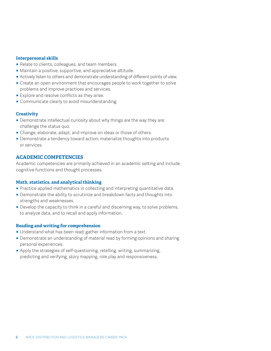#### **Interpersonal skills**

- Relate to clients, colleagues, and team members.
- **•** Maintain a positive, supportive, and appreciative attitude.
- **•** Actively listen to others and demonstrate understanding of different points of view.
- Create an open environment that encourages people to work together to solve problems and improve practices and services.
- **Explore and resolve conflicts as they arise.**
- Communicate clearly to avoid misunderstanding

#### **Creativity**

- **Demonstrate intellectual curiosity about why things are the way they are;** challenge the status quo.
- Change, elaborate, adapt, and improve on ideas or those of others.
- Demonstrate a tendency toward action; materialize thoughts into products or services.

#### **ACADEMIC COMPETENCIES**

Academic competencies are primarily achieved in an academic setting and include cognitive functions and thought processes.

#### **Math, statistics, and analytical thinking**

- **Practice applied mathematics in collecting and interpreting quantitative data.**
- **Demonstrate the ability to scrutinize and breakdown facts and thoughts into** strengths and weaknesses.
- **•** Develop the capacity to think in a careful and discerning way, to solve problems, to analyze data, and to recall and apply information.

#### **Reading and writing for comprehension**

- **Understand what has been read; gather information from a text.**
- **Demonstrate an understanding of material read by forming opinions and sharing** personal experiences.
- **•** Apply the strategies of self-questioning, retelling, writing, summarizing, predicting and verifying, story mapping, role play and responsiveness.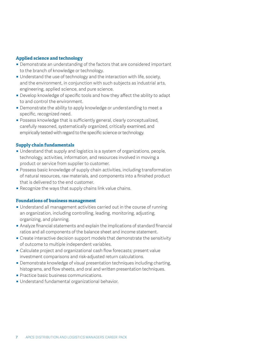#### **Applied science and technology**

- **Demonstrate an understanding of the factors that are considered important** to the branch of knowledge or technology.
- **Understand the use of technology and the interaction with life, society,** and the environment, in conjunction with such subjects as industrial arts, engineering, applied science, and pure science.
- **•** Develop knowledge of specific tools and how they affect the ability to adapt to and control the environment.
- **Demonstrate the ability to apply knowledge or understanding to meet a** specific, recognized need.
- **Possess knowledge that is sufficiently general, clearly conceptualized,** carefully reasoned, systematically organized, critically examined, and empirically tested with regard to the specific science or technology.

#### **Supply chain fundamentals**

- **Understand that supply and logistics is a system of organizations, people,** technology, activities, information, and resources involved in moving a product or service from supplier to customer.
- **Possess basic knowledge of supply chain activities, including transformation** of natural resources, raw materials, and components into a finished product that is delivered to the end customer.
- **Recognize the ways that supply chains link value chains.**

#### **Foundations of business management**

- **Understand all management activities carried out in the course of running** an organization, including controlling, leading, monitoring, adjusting, organizing, and planning.
- **Analyze financial statements and explain the implications of standard financial** ratios and all components of the balance sheet and income statement.
- **Create interactive decision support models that demonstrate the sensitivity** of outcome to multiple independent variables.
- Calculate project and organizational cash flow forecasts; present value investment comparisons and risk-adjusted return calculations.
- **Demonstrate knowledge of visual presentation techniques including charting,** histograms, and flow sheets, and oral and written presentation techniques.
- **Practice basic business communications.**
- **Understand fundamental organizational behavior.**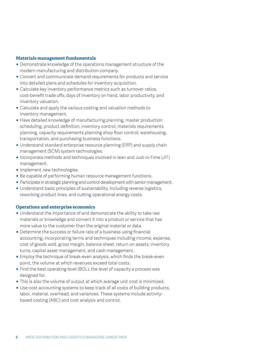#### **Materials management fundamentals**

- **Demonstrate knowledge of the operations management structure of the** modern manufacturing and distribution company.
- ̥ Convert and communicate demand requirements for products and service into detailed plans and schedules for inventory acquisition.
- **Calculate key inventory performance metrics such as turnover ratios,** cost-benefit trade offs, days of inventory on hand, labor productivity, and inventory valuation.
- Calculate and apply the various costing and valuation methods to inventory management.
- **Have detailed knowledge of manufacturing planning, master production** scheduling, product definition, inventory control, materials requirements planning, capacity requirements planning shop floor control, warehousing, transportation, and purchasing business functions.
- **Understand standard enterprise resource planning (ERP) and supply chain** management (SCM) system technologies.
- **Incorporate methods and techniques involved in lean and Just-in-Time (JIT)** management.
- **Implement new technologies.**
- **Be capable of performing human resource management functions.**
- **Participate in strategic planning and control development with senior management.**
- **Understand basic principles of sustainability, including reverse logistics,** reworking product lines, and cutting operational energy costs.

#### **Operations and enterprise economics**

- **Understand the importance of and demonstrate the ability to take raw** materials or knowledge and convert it into a product or service that has more value to the customer than the original material or data.
- **Determine the success or failure rate of a business using financial** accounting, incorporating terms and techniques including income, expense, cost of goods sold, gross margin, balance sheet, return on assets, inventory turns, capital asset management, and cash management.
- **Employ the technique of break-even analysis, which finds the break-even** point, the volume at which revenues exceed total costs.
- $\blacksquare$  Find the best operating level (BOL), the level of capacity a process was designed for.
- **•** This is also the volume of output at which average unit cost is minimized.
- Use cost accounting systems to keep track of all costs of building products, labor, material, overhead, and variances. These systems include activitybased costing (ABC) and cost analysis and control.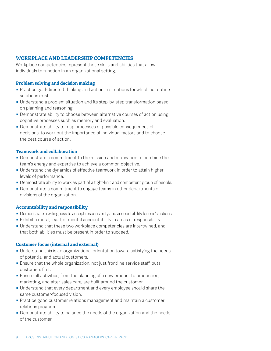#### **WORKPLACE AND LEADERSHIP COMPETENCIES**

Workplace competencies represent those skills and abilities that allow individuals to function in an organizational setting.

#### **Problem solving and decision making**

- **Practice goal-directed thinking and action in situations for which no routine** solutions exist.
- **Understand a problem situation and its step-by-step transformation based** on planning and reasoning.
- **Demonstrate ability to choose between alternative courses of action using** cognitive processes such as memory and evaluation.
- **Demonstrate ability to map processes of possible consequences of** decisions, to work out the importance of individual factors,and to choose the best course of action.

#### **Teamwork and collaboration**

- **Demonstrate a commitment to the mission and motivation to combine the** team's energy and expertise to achieve a common objective.
- **Understand the dynamics of effective teamwork in order to attain higher** levels of performance.
- **Demonstrate ability to work as part of a tight-knit and competent group of people.**
- **Demonstrate a commitment to engage teams in other departments or** divisions of the organization.

#### **Accountability and responsibility**

- **Demonstrate a willingness to accept responsibility and accountability for one's actions.**
- **Exhibit a moral, legal, or mental accountability in areas of responsibility.**
- **Understand that these two workplace competencies are intertwined, and** that both abilities must be present in order to succeed.

#### **Customer focus (internal and external)**

- **Understand this is an organizational orientation toward satisfying the needs** of potential and actual customers.
- **Ensure that the whole organization, not just frontline service staff, puts** customers first.
- **Ensure all activities, from the planning of a new product to production,** marketing, and after-sales care, are built around the customer.
- **Understand that every department and every employee should share the** same customer-focused vision.
- **Practice good customer relations management and maintain a customer** relations program.
- **Demonstrate ability to balance the needs of the organization and the needs** of the customer.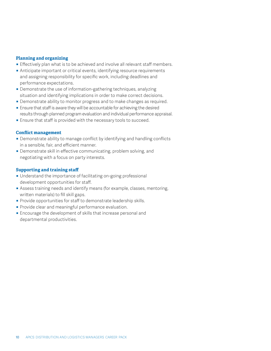#### **Planning and organizing**

- **Effectively plan what is to be achieved and involve all relevant staff members.**
- **•** Anticipate important or critical events, identifying resource requirements and assigning responsibility for specific work, including deadlines and performance expectations.
- **Demonstrate the use of information-gathering techniques, analyzing** situation and identifying implications in order to make correct decisions.
- **Demonstrate ability to monitor progress and to make changes as required.**
- **Ensure that staff is aware they will be accountable for achieving the desired** results through planned program evaluation and individual performance appraisal.
- **Ensure that staff is provided with the necessary tools to succeed.**

#### **Conflict management**

- Demonstrate ability to manage conflict by identifying and handling conflicts in a sensible, fair, and efficient manner.
- **Demonstrate skill in effective communicating, problem solving, and** negotiating with a focus on party interests.

#### **Supporting and training staff**

- **Understand the importance of facilitating on-going professional** development opportunities for staff.
- **•** Assess training needs and identify means (for example, classes, mentoring, written materials) to fill skill gaps.
- **Provide opportunities for staff to demonstrate leadership skills.**
- **Provide clear and meaningful performance evaluation.**
- **Encourage the development of skills that increase personal and** departmental productivities.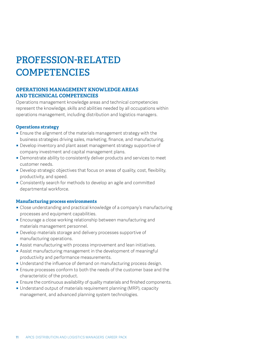## **PROFESSION-RELATED COMPETENCIES**

#### **OPERATIONS MANAGEMENT KNOWLEDGE AREAS AND TECHNICAL COMPETENCIES**

Operations management knowledge areas and technical competencies represent the knowledge, skills and abilities needed by all occupations within operations management, including distribution and logistics managers.

#### **Operations strategy**

- **Ensure the alignment of the materials management strategy with the** business strategies driving sales, marketing, finance, and manufacturing.
- **•** Develop inventory and plant asset management strategy supportive of company investment and capital management plans.
- **Demonstrate ability to consistently deliver products and services to meet** customer needs.
- **•** Develop strategic objectives that focus on areas of quality, cost, flexibility, productivity, and speed.
- **Consistently search for methods to develop an agile and committed** departmental workforce.

#### **Manufacturing process environments**

- Close understanding and practical knowledge of a company's manufacturing processes and equipment capabilities.
- **Encourage a close working relationship between manufacturing and** materials management personnel.
- **Develop materials storage and delivery processes supportive of** manufacturing operations.
- **EXS** Assist manufacturing with process improvement and lean initiatives.
- **Assist manufacturing management in the development of meaningful** productivity and performance measurements.
- **Understand the influence of demand on manufacturing process design.**
- **Ensure processes conform to both the needs of the customer base and the** characteristic of the product.
- **Ensure the continuous availability of quality materials and finished components.**
- **Understand output of materials requirement planning (MRP), capacity** management, and advanced planning system technologies.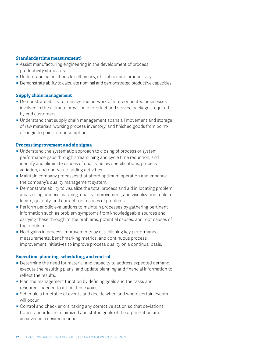#### **Standards (time measurement)**

- **Example 2** Assist manufacturing engineering in the development of process productivity standards.
- **Understand calculations for efficiency, utilization, and productivity.**
- **Demonstrate ability to calculate nominal and demonstrated productive capacities.**

#### **Supply chain management**

- **Demonstrate ability to manage the network of interconnected businesses** involved in the ultimate provision of product and service packages required by end customers.
- **Understand that supply chain management spans all movement and storage** of raw materials, working process inventory, and finished goods from pointof-origin to point-of-consumption.

#### **Process improvement and six sigma**

- **Understand the systematic approach to closing of process or system** performance gaps through streamlining and cycle time reduction, and identify and eliminate causes of quality below specifications, process variation, and non-value-adding activities.
- **Maintain company processes that afford optimum operation and enhance** the company's quality management system.
- **Demonstrate ability to visualize the total process and aid in locating problem** areas using process mapping, quality improvement, and visualization tools to locate, quantify, and correct root causes of problems.
- **•** Perform periodic evaluations to maintain processes by gathering pertinent information such as problem symptoms from knowledgeable sources and carrying these through to the problems, potential causes, and root causes of the problem.
- **Hold gains in process improvements by establishing key performance** measurements, benchmarking metrics, and continuous process improvement initiatives to improve process quality on a continual basis.

#### **Execution, planning, scheduling, and control**

- **Determine the need for material and capacity to address expected demand,** execute the resulting plans, and update planning and financial information to reflect the results.
- Plan the management function by defining goals and the tasks and resources needed to attain those goals.
- **Schedule a timetable of events and decide when and where certain events** will occur.
- **Control and check errors, taking any corrective action so that deviations** from standards are minimized and stated goals of the organization are achieved in a desired manner.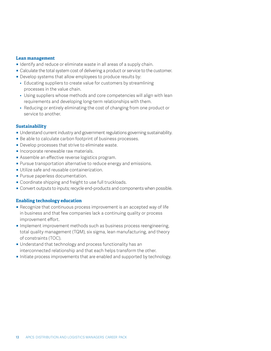#### **Lean management**

- **Identify and reduce or eliminate waste in all areas of a supply chain.**
- Calculate the total system cost of delivering a product or service to the customer.
- **•** Develop systems that allow employees to produce results by:
	- Educating suppliers to create value for customers by streamlining processes in the value chain.
- Using suppliers whose methods and core competencies will align with lean requirements and developing long-term relationships with them.
- Reducing or entirely eliminating the cost of changing from one product or service to another.

#### **Sustainability**

- **Understand current industry and government regulations governing sustainability.**
- Be able to calculate carbon footprint of business processes.
- **Develop processes that strive to eliminate waste.**
- **Incorporate renewable raw materials.**
- **EXECT** Assemble an effective reverse logistics program.
- **Pursue transportation alternative to reduce energy and emissions.**
- **Utilize safe and reusable containerization.**
- **Pursue paperless documentation.**
- **Coordinate shipping and freight to use full truckloads.**
- ̥ Convert outputs to inputs; recycle end-products and components when possible.

#### **Enabling technology education**

- **Recognize that continuous process improvement is an accepted way of life** in business and that few companies lack a continuing quality or process improvement effort.
- **Implement improvement methods such as business process reengineering,** total quality management (TQM), six sigma, lean manufacturing, and theory of constraints (TOC).
- **Understand that technology and process functionality has an** interconnected relationship and that each helps transform the other.
- **Initiate process improvements that are enabled and supported by technology.**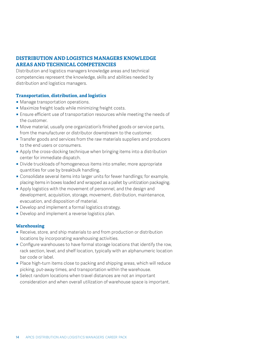#### **DISTRIBUTION AND LOGISTICS MANAGERS KNOWLEDGE AREAS AND TECHNICAL COMPETENCIES**

Distribution and logistics managers knowledge areas and technical competencies represent the knowledge, skills and abilities needed by distribution and logistics managers.

#### **Transportation, distribution, and logistics**

- **Manage transportation operations.**
- **Maximize freight loads while minimizing freight costs.**
- **Ensure efficient use of transportation resources while meeting the needs of** the customer.
- **Move material, usually one organization's finished goods or service parts,** from the manufacturer or distributor downstream to the customer.
- **Transfer goods and services from the raw materials suppliers and producers** to the end users or consumers.
- **•** Apply the cross-docking technique when bringing items into a distribution center for immediate dispatch.
- **Divide truckloads of homogeneous items into smaller, more appropriate** quantities for use by breakbulk handling.
- Consolidate several items into larger units for fewer handlings; for example, placing items in boxes loaded and wrapped as a pallet by unitization packaging.
- **•** Apply logistics with the movement of personnel, and the design and development, acquisition, storage, movement, distribution, maintenance, evacuation, and disposition of material.
- **Develop and implement a formal logistics strategy.**
- **Develop and implement a reverse logistics plan.**

#### **Warehousing**

- **Receive, store, and ship materials to and from production or distribution** locations by incorporating warehousing activities.
- **Configure warehouses to have formal storage locations that identify the row,** rack section, level, and shelf location, typically with an alphanumeric location bar code or label.
- **Place high-turn items close to packing and shipping areas, which will reduce** picking, put-away times, and transportation within the warehouse.
- **Select random locations when travel distances are not an important** consideration and when overall utilization of warehouse space is important.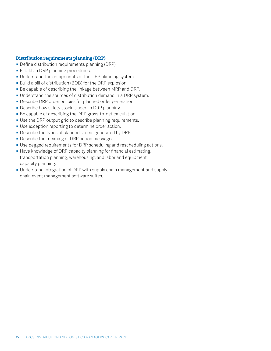#### **Distribution requirements planning (DRP)**

- **Define distribution requirements planning (DRP).**
- **Establish DRP planning procedures.**
- **Understand the components of the DRP planning system.**
- **Build a bill of distribution (BOD) for the DRP explosion.**
- Be capable of describing the linkage between MRP and DRP.
- **Understand the sources of distribution demand in a DRP system.**
- **Describe DRP order policies for planned order generation.**
- **Describe how safety stock is used in DRP planning.**
- **Be capable of describing the DRP gross-to-net calculation.**
- **Use the DRP output grid to describe planning requirements.**
- **Use exception reporting to determine order action.**
- **Describe the types of planned orders generated by DRP.**
- **Describe the meaning of DRP action messages.**
- **Use pegged requirements for DRP scheduling and rescheduling actions.**
- **EXTERF** Have knowledge of DRP capacity planning for financial estimating, transportation planning, warehousing, and labor and equipment capacity planning.
- **Understand integration of DRP with supply chain management and supply** chain event management software suites.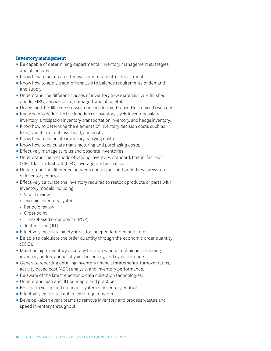#### **Inventory management**

- **Be capable of determining departmental inventory management strategies** and objectives.
- **K**now how to set up an effective inventory control department.
- **K** Know how to apply trade-off analysis to balance requirements of demand and supply.
- **Understand the different classes of inventory (raw materials, WIP, finished** goods, MRO, service parts, damaged, and obsolete).
- **Understand the difference between independent and dependent demand inventory.**
- **K**now how to define the five functions of inventory: cycle inventory, safety inventory, anticipation inventory, transportation inventory, and hedge inventory.
- **K**now how to determine the elements of inventory decision costs such as fixed, variable, direct, overhead, and costs
- **K**now how to calculate inventory carrying costs.
- **K**now how to calculate manufacturing and purchasing costs.
- **Effectively manage surplus and obsolete inventories.**
- **Understand the methods of valuing inventory: standard; first in, first out** (FIFO); last in, first out (LIFO); average; and actual cost.
- **Understand the difference between continuous and period review systems** of inventory control.
- **Effectively calculate the inventory required to restock products or parts with** inventory models including:
	- Visual review
	- Two-bin inventory system
	- Periodic review
	- Order point
	- Time-phased order point (TPOP)
	- Just-in-Time (JIT).
- **Effectively calculate safety stock for independent demand items.**
- **Be able to calculate the order quantity through the economic order quantity** (EOQ).
- **Maintain high inventory accuracy through various techniques including** inventory audits, annual physical inventory, and cycle counting.
- **Generate reporting detailing inventory financial statements, turnover ratios,** activity based cost (ABC) analysis, and inventory performance.
- **Be aware of the latest electronic data collection technologies.**
- **Understand lean and JIT concepts and practices.**
- **Be able to set up and run a pull system of inventory control.**
- **Effectively calculate kanban card requirements.**
- **Develop kaizen event teams to remove inventory and process wastes and** speed inventory throughput.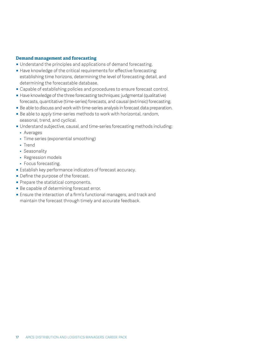#### **Demand management and forecasting**

- **Understand the principles and applications of demand forecasting.**
- **Have knowledge of the critical requirements for effective forecasting:** establishing time horizons, determining the level of forecasting detail, and determining the forecastable database.
- Capable of establishing policies and procedures to ensure forecast control.
- **•** Have knowledge of the three forecasting techniques: judgmental (qualitative) forecasts, quantitative (time-series) forecasts, and causal (extrinsic) forecasting.
- **Be able to discuss and work with time-series analysis in forecast data preparation.**
- Be able to apply time-series methods to work with horizontal, random, seasonal, trend, and cyclical.
- ̥ Understand subjective, causal, and time-series forecasting methods including:
	- Averages
	- Time series (exponential smoothing)
	- Trend
	- Seasonality
	- Regression models
	- Focus forecasting.
- Establish key performance indicators of forecast accuracy.
- Define the purpose of the forecast.
- **Prepare the statistical components.**
- **Be capable of determining forecast error.**
- **Ensure the interaction of a firm's functional managers, and track and** maintain the forecast through timely and accurate feedback.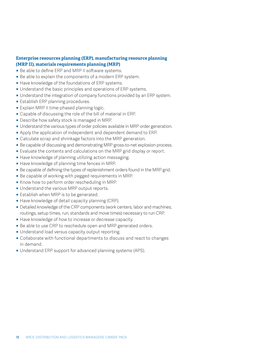#### **Enterprise resources planning (ERP), manufacturing resource planning (MRP II), materials requirements planning (MRP)**

- **Be able to define ERP and MRP II software systems.**
- Be able to explain the components of a modern ERP system.
- **Have knowledge of the foundations of ERP systems.**
- **Understand the basic principles and operations of ERP systems.**
- **Understand the integration of company functions provided by an ERP system.**
- **Establish ERP planning procedures.**
- **Explain MRP II time-phased planning logic.**
- **Capable of discussing the role of the bill of material in ERP.**
- **Describe how safety stock is managed in MRP.**
- **Understand the various types of order policies available in MRP order generation.**
- **•** Apply the application of independent and dependent demand to ERP.
- **Calculate scrap and shrinkage factors into the MRP generation.**
- **Be capable of discussing and demonstrating MRP gross-to-net explosion process.**
- **Evaluate the contents and calculations on the MRP grid display or report.**
- **Have knowledge of planning utilizing action messaging.**
- **Have knowledge of planning time fences in MRP.**
- **•** Be capable of defining the types of replenishment orders found in the MRP grid.
- **Be capable of working with pegged requirements in MRP.**
- Know how to perform order rescheduling in MRP.
- **Understand the various MRP output reports.**
- **Establish when MRP is to be generated.**
- **Have knowledge of detail capacity planning (CRP).**
- **Detailed knowledge of the CRP components (work centers, labor and machines,** routings, setup times, run, standards and move times) necessary to run CRP.
- **Have knowledge of how to increase or decrease capacity.**
- **•** Be able to use CRP to reschedule open and MRP generated orders.
- **Understand load versus capacity output reporting.**
- Collaborate with functional departments to discuss and react to changes in demand.
- **Understand ERP support for advanced planning systems (APS).**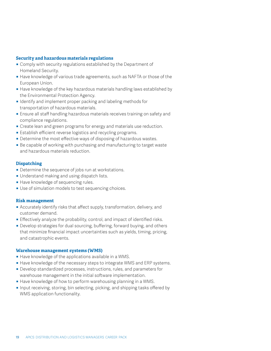#### **Security and hazardous materials regulations**

- **Comply with security regulations established by the Department of** Homeland Security.
- **Have knowledge of various trade agreements, such as NAFTA or those of the** European Union.
- **Have knowledge of the key hazardous materials handling laws established by** the Environmental Protection Agency.
- **I** Identify and implement proper packing and labeling methods for transportation of hazardous materials.
- **Ensure all staff handling hazardous materials receives training on safety and** compliance regulations.
- **•** Create lean and green programs for energy and materials use reduction.
- **Establish efficient reverse logistics and recycling programs.**
- **Determine the most effective ways of disposing of hazardous wastes.**
- **•** Be capable of working with purchasing and manufacturing to target waste and hazardous materials reduction.

#### **Dispatching**

- **•** Determine the sequence of jobs run at workstations.
- **Understand making and using dispatch lists.**
- **Have knowledge of sequencing rules.**
- Use of simulation models to test sequencing choices.

#### **Risk management**

- **•** Accurately identify risks that affect supply, transformation, delivery, and customer demand.
- **Effectively analyze the probability, control, and impact of identified risks.**
- **•** Develop strategies for dual sourcing, buffering, forward buying, and others that minimize financial impact uncertainties such as yields, timing, pricing, and catastrophic events.

#### **Warehouse management systems (WMS)**

- **Have knowledge of the applications available in a WMS.**
- **Have knowledge of the necessary steps to integrate WMS and ERP systems.**
- **Develop standardized processes, instructions, rules, and parameters for** warehouse management in the initial software implementation.
- **•** Have knowledge of how to perform warehousing planning in a WMS.
- **•** Input receiving, storing, bin selecting, picking, and shipping tasks offered by WMS application functionality.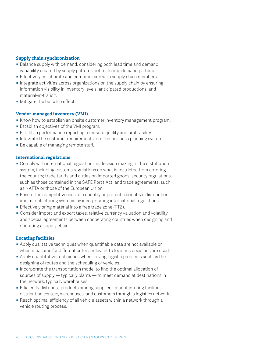#### **Supply chain synchronization**

- **Balance supply with demand, considering both lead time and demand** variability created by supply patterns not matching demand patterns.
- **Effectively collaborate and communicate with supply chain members.**
- **Integrate activities across organizations on the supply chain by ensuring** information visibility in inventory levels, anticipated productions, and material-in-transit.
- Mitigate the bullwhip effect.

#### **Vendor-managed inventory (VMI)**

- **K** Know how to establish an onsite customer inventory management program.
- **Establish objectives of the VMI program.**
- **Establish performance reporting to ensure quality and profitability.**
- **Integrate the customer requirements into the business planning system.**
- Be capable of managing remote staff.

#### **International regulations**

- **Comply with international regulations in decision making in the distribution** system, including customs regulations on what is restricted from entering the country; trade tariffs and duties on imported goods; security regulations, such as those contained in the SAFE Ports Act; and trade agreements, such as NAFTA or those of the European Union.
- **Ensure the competitiveness of a country or protect a country's distribution** and manufacturing systems by incorporating international regulations.
- **Effectively bring material into a free trade zone (FTZ).**
- **Consider import and export taxes, relative currency valuation and volatility,** and special agreements between cooperating countries when designing and operating a supply chain.

#### **Locating facilities**

- **•** Apply qualitative techniques when quantifiable data are not available or when measures for different criteria relevant to logistics decisions are used.
- $\blacksquare$  Apply quantitative techniques when solving logistic problems such as the designing of routes and the scheduling of vehicles.
- **Incorporate the transportation model to find the optimal allocation of** sources of supply — typically plants — to meet demand at destinations in the network, typically warehouses.
- **Efficiently distribute products among suppliers, manufacturing facilities,** distribution centers, warehouses, and customers through a logistics network.
- **Reach optimal efficiency of all vehicle assets within a network through a** vehicle routing process.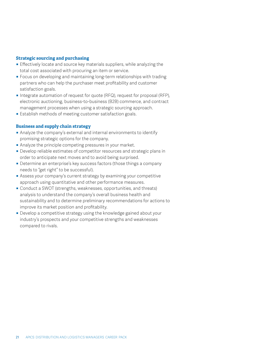#### **Strategic sourcing and purchasing**

- **Effectively locate and source key materials suppliers, while analyzing the** total cost associated with procuring an item or service.
- **•** Focus on developing and maintaining long-term relationships with trading partners who can help the purchaser meet profitability and customer satisfaction goals.
- **•** Integrate automation of request for quote (RFQ), request for proposal (RFP), electronic auctioning, business-to-business (B2B) commerce, and contract management processes when using a strategic sourcing approach.
- **Establish methods of meeting customer satisfaction goals.**

#### **Business and supply chain strategy**

- Analyze the company's external and internal environments to identify promising strategic options for the company.
- **Analyze the principle competing pressures in your market.**
- **Develop reliable estimates of competitor resources and strategic plans in** order to anticipate next moves and to avoid being surprised.
- **Determine an enterprise's key success factors (those things a company** needs to "get right" to be successful).
- **EXTERG** Assess your company's current strategy by examining your competitive approach using quantitative and other performance measures.
- Conduct a SWOT (strengths, weaknesses, opportunities, and threats) analysis to understand the company's overall business health and sustainability and to determine preliminary recommendations for actions to improve its market position and profitability.
- **•** Develop a competitive strategy using the knowledge gained about your industry's prospects and your competitive strengths and weaknesses compared to rivals.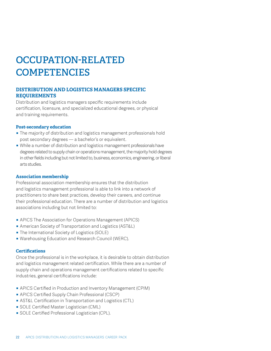## **OCCUPATION-RELATED COMPETENCIES**

#### **DISTRIBUTION AND LOGISTICS MANAGERS SPECIFIC REQUIREMENTS**

Distribution and logistics managers specific requirements include certification, licensure, and specialized educational degrees, or physical and training requirements.

#### **Post-secondary education**

- The majority of distribution and logistics management professionals hold post secondary degrees — a bachelor's or equivalent.
- **•** While a number of distribution and logistics management professionals have degrees related to supply chain or operations management, the majority hold degrees in other fields including but not limited to, business, economics, engineering, or liberal arts studies.

#### **Association membership**

Professional association membership ensures that the distribution and logistics management professional is able to link into a network of practitioners to share best practices, develop their careers, and continue their professional education. There are a number of distribution and logistics associations including but not limited to:

- **APICS The Association for Operations Management (APICS)**
- **American Society of Transportation and Logistics (AST&L)**
- **The International Society of Logistics (SOLE)**
- **Warehousing Education and Research Council (WERC).**

#### **Certifications**

Once the professional is in the workplace, it is desirable to obtain distribution and logistics management related certification. While there are a number of supply chain and operations management certifications related to specific industries, general certifications include:

- **APICS Certified in Production and Inventory Management (CPIM)**
- **APICS Certified Supply Chain Professional (CSCP)**
- **AST&L Certification in Transportation and Logistics (CTL)**
- **SOLE Certified Master Logistician (CML)**
- **SOLE Certified Professional Logistician (CPL).**